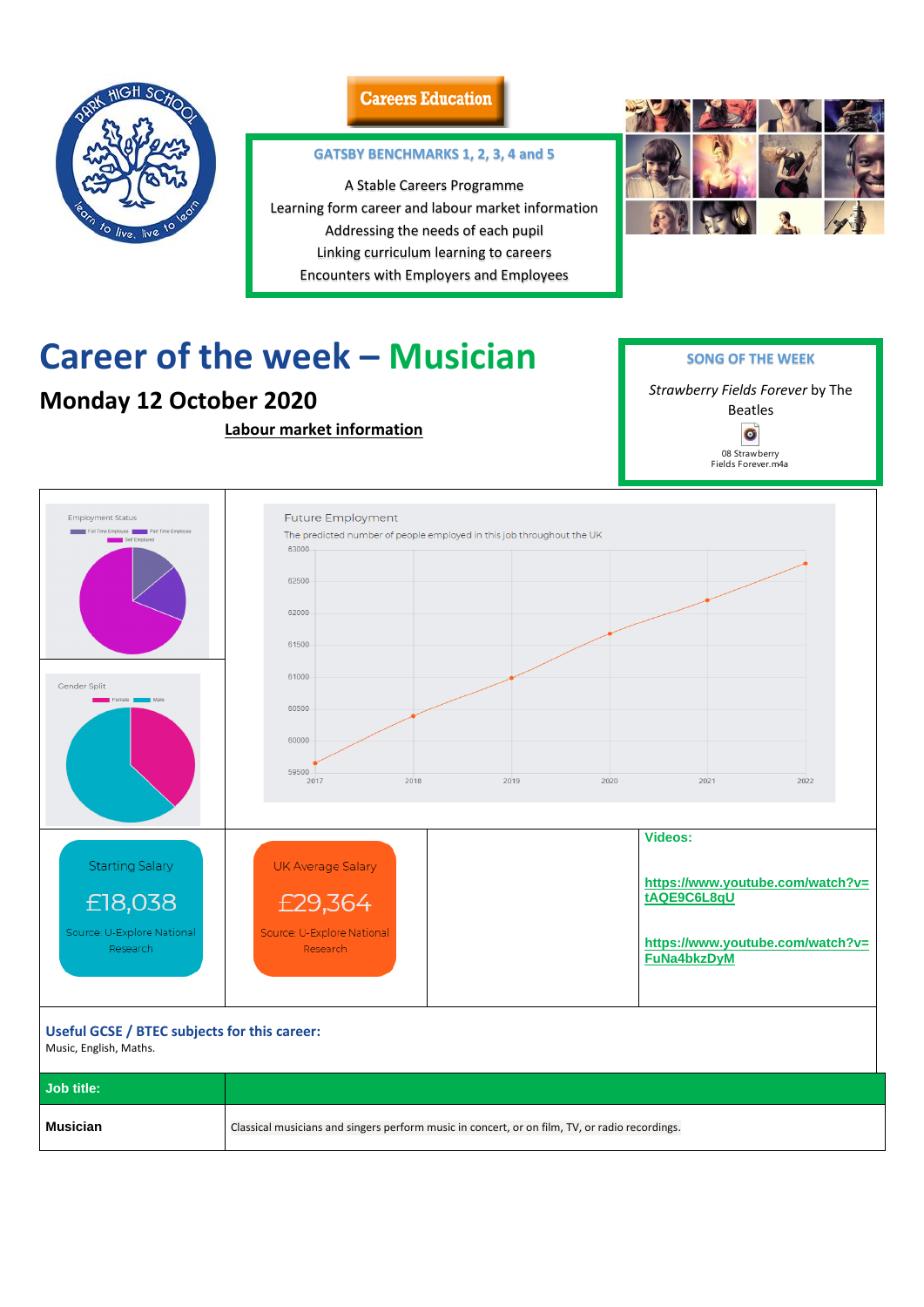

### **Careers Education**

# **Career of the week – Musician**

## **Monday 12 October 2020**

**Labour market information**



#### **Useful GCSE / BTEC subjects for this career:**

Music, English, Maths.

| Job title: |                                                                                                |
|------------|------------------------------------------------------------------------------------------------|
| Musician   | Classical musicians and singers perform music in concert, or on film, TV, or radio recordings. |

### **GATSBY BENCHMARKS 1, 2, 3, 4 and 5**

A Stable Careers Programme Learning form career and labour market information Addressing the needs of each pupil Linking curriculum learning to careers Encounters with Employers and Employees



**SONG OF THE WEEK**

*Strawberry Fields Forever* by The